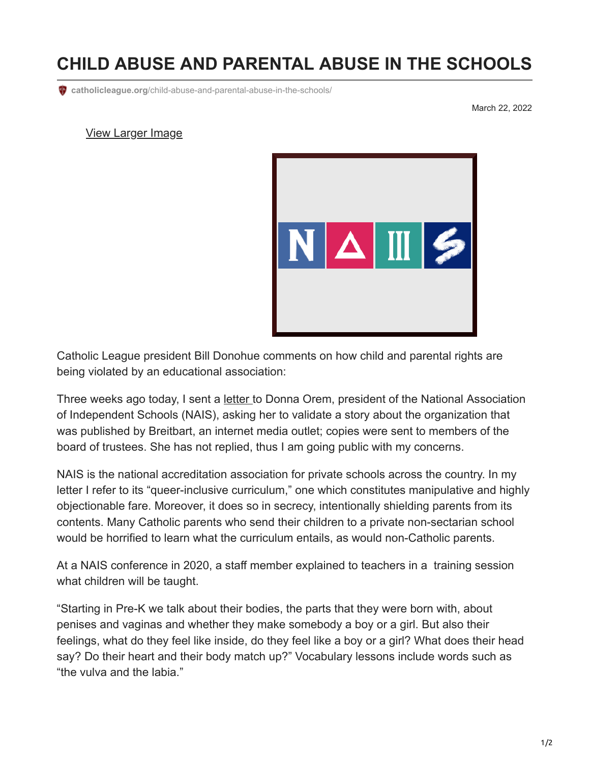## **CHILD ABUSE AND PARENTAL ABUSE IN THE SCHOOLS**

**catholicleague.org**[/child-abuse-and-parental-abuse-in-the-schools/](https://www.catholicleague.org/child-abuse-and-parental-abuse-in-the-schools/)

March 22, 2022

## [View Larger Image](https://www.catholicleague.org/wp-content/uploads/2022/03/nais.png)



Catholic League president Bill Donohue comments on how child and parental rights are being violated by an educational association:

Three weeks ago today, I sent a [letter](https://www.catholicleague.org/wp-content/uploads/2022/03/NAIS-Letter.pdf) to Donna Orem, president of the National Association of Independent Schools (NAIS), asking her to validate a story about the organization that was published by Breitbart, an internet media outlet; copies were sent to members of the board of trustees. She has not replied, thus I am going public with my concerns.

NAIS is the national accreditation association for private schools across the country. In my letter I refer to its "queer-inclusive curriculum," one which constitutes manipulative and highly objectionable fare. Moreover, it does so in secrecy, intentionally shielding parents from its contents. Many Catholic parents who send their children to a private non-sectarian school would be horrified to learn what the curriculum entails, as would non-Catholic parents.

At a NAIS conference in 2020, a staff member explained to teachers in a training session what children will be taught.

"Starting in Pre-K we talk about their bodies, the parts that they were born with, about penises and vaginas and whether they make somebody a boy or a girl. But also their feelings, what do they feel like inside, do they feel like a boy or a girl? What does their head say? Do their heart and their body match up?" Vocabulary lessons include words such as "the vulva and the labia."